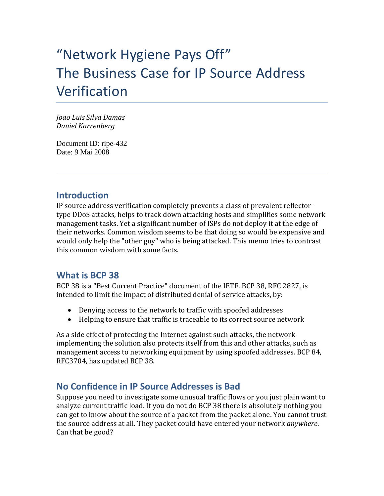# "Network Hygiene Pays Off" The Business Case for IP Source Address Verification

*Joao Luis Silva Damas Daniel Karrenberg*

Document ID: ripe-432 Date: 9 Mai 2008

#### **Introduction**

IP source address verification completely prevents a class of prevalent reflector‐ type DDoS attacks, helps to track down attacking hosts and simplifies some network management tasks. Yet a significant number of ISPs do not deploy it at the edge of their networks. Common wisdom seems to be that doing so would be expensive and would only help the "other guy" who is being attacked. This memo tries to contrast this common wisdom with some facts.

#### **What is BCP 38**

BCP 38 is a "Best Current Practice" document of the IETF. BCP 38, RFC 2827, is intended to limit the impact of distributed denial of service attacks, by:

- Denying access to the network to traffic with spoofed addresses
- Helping to ensure that traffic is traceable to its correct source network

As a side effect of protecting the Internet against such attacks, the network implementing the solution also protects itself from this and other attacks, such as management access to networking equipment by using spoofed addresses. BCP 84, RFC3704, has updated BCP 38.

# **No Confidence in IP Source Addresses is Bad**

Suppose you need to investigate some unusual traffic flows or you just plain want to analyze current traffic load. If you do not do BCP 38 there is absolutely nothing you can get to know about the source of a packet from the packet alone. You cannot trust the source address at all. They packet could have entered your network *anywhere*. Can that be good?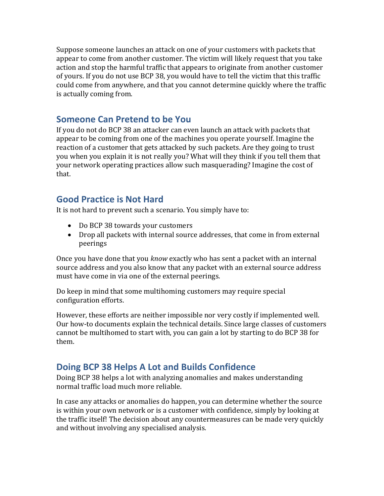Suppose someone launches an attack on one of your customers with packets that appear to come from another customer. The victim will likely request that you take action and stop the harmful traffic that appears to originate from another customer of yours. If you do not use BCP 38, you would have to tell the victim that this traffic could come from anywhere, and that you cannot determine quickly where the traffic is actually coming from.

#### **Someone Can Pretend to be You**

If you do not do BCP 38 an attacker can even launch an attack with packets that appear to be coming from one of the machines you operate yourself. Imagine the reaction of a customer that gets attacked by such packets. Are they going to trust you when you explain it is not really you? What will they think if you tell them that your network operating practices allow such masquerading? Imagine the cost of that.

# **Good Practice is Not Hard**

It is not hard to prevent such a scenario. You simply have to:

- Do BCP 38 towards your customers
- Drop all packets with internal source addresses, that come in from external peerings

Once you have done that you *know* exactly who has sent a packet with an internal source address and you also know that any packet with an external source address must have come in via one of the external peerings.

Do keep in mind that some multihoming customers may require special configuration efforts.

However, these efforts are neither impossible nor very costly if implemented well. Our how-to documents explain the technical details. Since large classes of customers cannot be multihomed to start with, you can gain a lot by starting to do BCP 38 for them.

# **Doing BCP 38 Helps A Lot and Builds Confidence**

Doing BCP 38 helps a lot with analyzing anomalies and makes understanding normal traffic load much more reliable.

In case any attacks or anomalies do happen, you can determine whether the source is within your own network or is a customer with confidence, simply by looking at the traffic itself! The decision about any countermeasures can be made very quickly and without involving any specialised analysis.